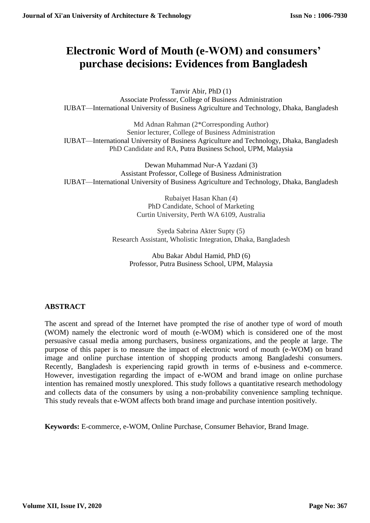# **Electronic Word of Mouth (e-WOM) and consumers' purchase decisions: Evidences from Bangladesh**

Tanvir Abir, PhD (1) Associate Professor, College of Business Administration IUBAT—International University of Business Agriculture and Technology, Dhaka, Bangladesh

Md Adnan Rahman (2\*Corresponding Author) Senior lecturer, College of Business Administration IUBAT—International University of Business Agriculture and Technology, Dhaka, Bangladesh PhD Candidate and RA, Putra Business School, UPM, Malaysia

Dewan Muhammad Nur-A Yazdani (3) Assistant Professor, College of Business Administration IUBAT—International University of Business Agriculture and Technology, Dhaka, Bangladesh

> Rubaiyet Hasan Khan (4) PhD Candidate, School of Marketing Curtin University, Perth WA 6109, Australia

Syeda Sabrina Akter Supty (5) Research Assistant, Wholistic Integration, Dhaka, Bangladesh

Abu Bakar Abdul Hamid, PhD (6) Professor, Putra Business School, UPM, Malaysia

## **ABSTRACT**

The ascent and spread of the Internet have prompted the rise of another type of word of mouth (WOM) namely the electronic word of mouth (e-WOM) which is considered one of the most persuasive casual media among purchasers, business organizations, and the people at large. The purpose of this paper is to measure the impact of electronic word of mouth (e-WOM) on brand image and online purchase intention of shopping products among Bangladeshi consumers. Recently, Bangladesh is experiencing rapid growth in terms of e-business and e-commerce. However, investigation regarding the impact of e-WOM and brand image on online purchase intention has remained mostly unexplored. This study follows a quantitative research methodology and collects data of the consumers by using a non-probability convenience sampling technique. This study reveals that e-WOM affects both brand image and purchase intention positively.

**Keywords:** E-commerce, e-WOM, Online Purchase, Consumer Behavior, Brand Image.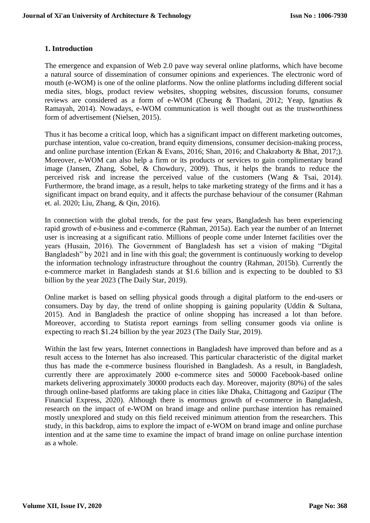## **1. Introduction**

The emergence and expansion of Web 2.0 pave way several online platforms, which have become a natural source of dissemination of consumer opinions and experiences. The electronic word of mouth (e-WOM) is one of the online platforms. Now the online platforms including different social media sites, blogs, product review websites, shopping websites, discussion forums, consumer reviews are considered as a form of e-WOM (Cheung & Thadani, 2012; Yeap, Ignatius & Ramayah, 2014). Nowadays, e-WOM communication is well thought out as the trustworthiness form of advertisement (Nielsen, 2015).

Thus it has become a critical loop, which has a significant impact on different marketing outcomes, purchase intention, value co-creation, brand equity dimensions, consumer decision-making process, and online purchase intention (Erkan & Evans, 2016; Shan, 2016; and Chakraborty & Bhat, 2017;). Moreover, e-WOM can also help a firm or its products or services to gain complimentary brand image (Jansen, Zhang, Sobel, & Chowdury, 2009). Thus, it helps the brands to reduce the perceived risk and increase the perceived value of the customers (Wang & Tsai, 2014). Furthermore, the brand image, as a result, helps to take marketing strategy of the firms and it has a significant impact on brand equity, and it affects the purchase behaviour of the consumer (Rahman et. al. 2020; Liu, Zhang, & Qin, 2016).

In connection with the global trends, for the past few years, Bangladesh has been experiencing rapid growth of e-business and e-commerce (Rahman, 2015a). Each year the number of an Internet user is increasing at a significant ratio. Millions of people come under Internet facilities over the years (Husain, 2016). The Government of Bangladesh has set a vision of making "Digital Bangladesh" by 2021 and in line with this goal; the government is continuously working to develop the information technology infrastructure throughout the country (Rahman, 2015b). Currently the e-commerce market in Bangladesh stands at \$1.6 billion and is expecting to be doubled to \$3 billion by the year 2023 (The Daily Star, 2019).

Online market is based on selling physical goods through a digital platform to the end-users or consumers. Day by day, the trend of online shopping is gaining popularity (Uddin & Sultana, 2015). And in Bangladesh the practice of online shopping has increased a lot than before. Moreover, according to Statista report earnings from selling consumer goods via online is expecting to reach \$1.24 billion by the year 2023 (The Daily Star, 2019).

Within the last few years, Internet connections in Bangladesh have improved than before and as a result access to the Internet has also increased. This particular characteristic of the digital market thus has made the e-commerce business flourished in Bangladesh. As a result, in Bangladesh, currently there are approximately 2000 e-commerce sites and 50000 Facebook-based online markets delivering approximately 30000 products each day. Moreover, majority (80%) of the sales through online-based platforms are taking place in cities like Dhaka, Chittagong and Gazipur (The Financial Express, 2020). Although there is enormous growth of e-commerce in Bangladesh, research on the impact of e-WOM on brand image and online purchase intention has remained mostly unexplored and study on this field received minimum attention from the researchers. This study, in this backdrop, aims to explore the impact of e-WOM on brand image and online purchase intention and at the same time to examine the impact of brand image on online purchase intention as a whole.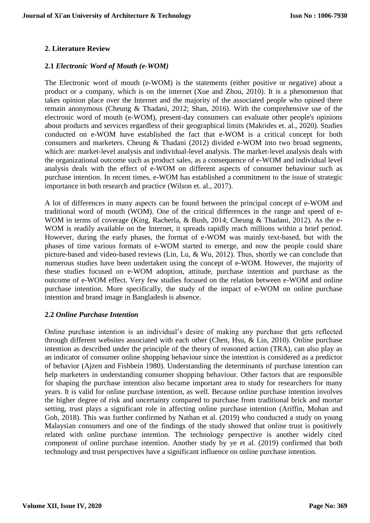## **2. Literature Review**

## **2.1** *Electronic Word of Mouth (e-WOM)*

The Electronic word of mouth (e-WOM) is the statements (either positive or negative) about a product or a company, which is on the internet (Xue and Zhou, 2010). It is a phenomenon that takes opinion place over the Internet and the majority of the associated people who opined there remain anonymous (Cheung & Thadani, 2012; Shan, 2016). With the comprehensive use of the electronic word of mouth (e-WOM), present-day consumers can evaluate other people's opinions about products and services regardless of their geographical limits (Makrides et. al., 2020). Studies conducted on e-WOM have established the fact that e-WOM is a critical concept for both consumers and marketers. Cheung & Thadani (2012) divided e-WOM into two broad segments, which are: market-level analysis and individual-level analysis. The market-level analysis deals with the organizational outcome such as product sales, as a consequence of e-WOM and individual level analysis deals with the effect of e-WOM on different aspects of consumer behaviour such as purchase intention. In recent times, e-WOM has established a commitment to the issue of strategic importance in both research and practice (Wilson et. al., 2017).

A lot of differences in many aspects can be found between the principal concept of e-WOM and traditional word of mouth (WOM). One of the critical differences in the range and speed of e-WOM in terms of coverage (King, Racherla, & Bush, 2014; Cheung & Thadani, 2012). As the e-WOM is readily available on the Internet, it spreads rapidly reach millions within a brief period. However, during the early phases, the format of e-WOM was mainly text-based, but with the phases of time various formats of e-WOM started to emerge, and now the people could share picture-based and video-based reviews (Lin, Lu, & Wu, 2012). Thus, shortly we can conclude that numerous studies have been undertaken using the concept of e-WOM. However, the majority of these studies focused on e-WOM adoption, attitude, purchase intention and purchase as the outcome of e-WOM effect. Very few studies focused on the relation between e-WOM and online purchase intention. More specifically, the study of the impact of e-WOM on online purchase intention and brand image in Bangladesh is absence.

#### **2.2** *Online Purchase Intention*

Online purchase intention is an individual's desire of making any purchase that gets reflected through different websites associated with each other (Chen, Hsu, & Lin, 2010). Online purchase intention as described under the principle of the theory of reasoned action (TRA), can also play as an indicator of consumer online shopping behaviour since the intention is considered as a predictor of behavior (Ajzen and Fishbein 1980). Understanding the determinants of purchase intention can help marketers in understanding consumer shopping behaviour. Other factors that are responsible for shaping the purchase intention also became important area to study for researchers for many years. It is valid for online purchase intention, as well. Because online purchase intention involves the higher degree of risk and uncertainty compared to purchase from traditional brick and mortar setting, trust plays a significant role in affecting online purchase intention (Ariffin, Mohan and Goh, 2018). This was further confirmed by Nathan et al. (2019) who conducted a study on young Malaysian consumers and one of the findings of the study showed that online trust is positively related with online purchase intention. The technology perspective is another widely cited component of online purchase intention. Another study by ye et al. (2019) confirmed that both technology and trust perspectives have a significant influence on online purchase intention.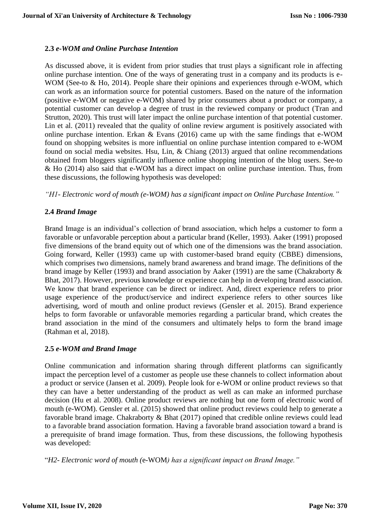#### **2.3** *e-WOM and Online Purchase Intention*

As discussed above, it is evident from prior studies that trust plays a significant role in affecting online purchase intention. One of the ways of generating trust in a company and its products is e-WOM (See-to & Ho, 2014). People share their opinions and experiences through e-WOM, which can work as an information source for potential customers. Based on the nature of the information (positive e-WOM or negative e-WOM) shared by prior consumers about a product or company, a potential customer can develop a degree of trust in the reviewed company or product (Tran and Strutton, 2020). This trust will later impact the online purchase intention of that potential customer. Lin et al. (2011) revealed that the quality of online review argument is positively associated with online purchase intention. Erkan & Evans (2016) came up with the same findings that e-WOM found on shopping websites is more influential on online purchase intention compared to e-WOM found on social media websites. Hsu, Lin, & Chiang (2013) argued that online recommendations obtained from bloggers significantly influence online shopping intention of the blog users. See-to & Ho (2014) also said that e-WOM has a direct impact on online purchase intention. Thus, from these discussions, the following hypothesis was developed:

*"H1- Electronic word of mouth (e-WOM) has a significant impact on Online Purchase Intention."*

## **2.4** *Brand Image*

Brand Image is an individual's collection of brand association, which helps a customer to form a favorable or unfavorable perception about a particular brand (Keller, 1993). Aaker (1991) proposed five dimensions of the brand equity out of which one of the dimensions was the brand association. Going forward, Keller (1993) came up with customer-based brand equity (CBBE) dimensions, which comprises two dimensions, namely brand awareness and brand image. The definitions of the brand image by Keller (1993) and brand association by Aaker (1991) are the same (Chakraborty & Bhat, 2017). However, previous knowledge or experience can help in developing brand association. We know that brand experience can be direct or indirect. And, direct experience refers to prior usage experience of the product/service and indirect experience refers to other sources like advertising, word of mouth and online product reviews (Gensler et al. 2015). Brand experience helps to form favorable or unfavorable memories regarding a particular brand, which creates the brand association in the mind of the consumers and ultimately helps to form the brand image (Rahman et al, 2018).

## **2.5** *e-WOM and Brand Image*

Online communication and information sharing through different platforms can significantly impact the perception level of a customer as people use these channels to collect information about a product or service (Jansen et al. 2009). People look for e-WOM or online product reviews so that they can have a better understanding of the product as well as can make an informed purchase decision (Hu et al. 2008). Online product reviews are nothing but one form of electronic word of mouth (e-WOM). Gensler et al. (2015) showed that online product reviews could help to generate a favorable brand image. Chakraborty & Bhat (2017) opined that credible online reviews could lead to a favorable brand association formation. Having a favorable brand association toward a brand is a prerequisite of brand image formation. Thus, from these discussions, the following hypothesis was developed:

"*H2- Electronic word of mouth (*e-WOM*) has a significant impact on Brand Image."*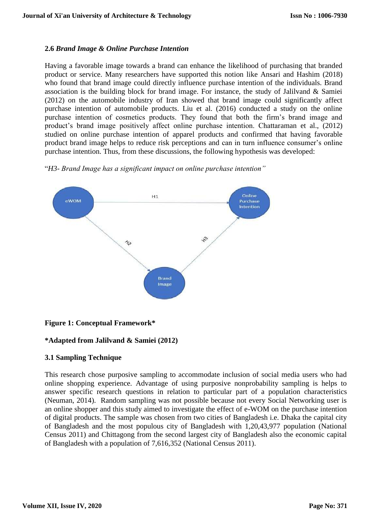#### **2.6** *Brand Image & Online Purchase Intention*

Having a favorable image towards a brand can enhance the likelihood of purchasing that branded product or service. Many researchers have supported this notion like Ansari and Hashim (2018) who found that brand image could directly influence purchase intention of the individuals. Brand association is the building block for brand image. For instance, the study of Jalilvand & Samiei (2012) on the automobile industry of Iran showed that brand image could significantly affect purchase intention of automobile products. Liu et al. (2016) conducted a study on the online purchase intention of cosmetics products. They found that both the firm's brand image and product's brand image positively affect online purchase intention. Chattaraman et al., (2012) studied on online purchase intention of apparel products and confirmed that having favorable product brand image helps to reduce risk perceptions and can in turn influence consumer's online purchase intention. Thus, from these discussions, the following hypothesis was developed:





## **Figure 1: Conceptual Framework\***

#### **\*Adapted from Jalilvand & Samiei (2012)**

## **3.1 Sampling Technique**

This research chose purposive sampling to accommodate inclusion of social media users who had online shopping experience. Advantage of using purposive nonprobability sampling is helps to answer specific research questions in relation to particular part of a population characteristics (Neuman, 2014). Random sampling was not possible because not every Social Networking user is an online shopper and this study aimed to investigate the effect of e-WOM on the purchase intention of digital products. The sample was chosen from two cities of Bangladesh i.e. Dhaka the capital city of Bangladesh and the most populous city of Bangladesh with 1,20,43,977 population (National Census 2011) and Chittagong from the second largest city of Bangladesh also the economic capital of Bangladesh with a population of 7,616,352 (National Census 2011).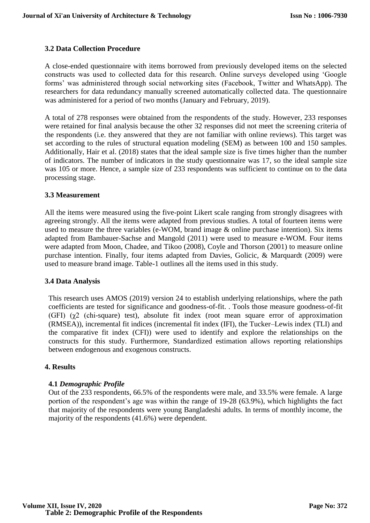## **3.2 Data Collection Procedure**

A close-ended questionnaire with items borrowed from previously developed items on the selected constructs was used to collected data for this research. Online surveys developed using 'Google forms' was administered through social networking sites (Facebook, Twitter and WhatsApp). The researchers for data redundancy manually screened automatically collected data. The questionnaire was administered for a period of two months (January and February, 2019).

A total of 278 responses were obtained from the respondents of the study. However, 233 responses were retained for final analysis because the other 32 responses did not meet the screening criteria of the respondents (i.e. they answered that they are not familiar with online reviews). This target was set according to the rules of structural equation modeling (SEM) as between 100 and 150 samples. Additionally, Hair et al. (2018) states that the ideal sample size is five times higher than the number of indicators. The number of indicators in the study questionnaire was 17, so the ideal sample size was 105 or more. Hence, a sample size of 233 respondents was sufficient to continue on to the data processing stage.

#### **3.3 Measurement**

All the items were measured using the five-point Likert scale ranging from strongly disagrees with agreeing strongly. All the items were adapted from previous studies. A total of fourteen items were used to measure the three variables (e-WOM, brand image & online purchase intention). Six items adapted from Bambauer-Sachse and Mangold (2011) were used to measure e-WOM. Four items were adapted from Moon, Chadee, and Tikoo (2008), Coyle and Thorson (2001) to measure online purchase intention. Finally, four items adapted from Davies, Golicic, & Marquardt (2009) were used to measure brand image. Table-1 outlines all the items used in this study.

#### **3.4 Data Analysis**

This research uses AMOS (2019) version 24 to establish underlying relationships, where the path coefficients are tested for significance and goodness-of-fit. . Tools those measure goodness-of-fit (GFI) (χ2 (chi-square) test), absolute fit index (root mean square error of approximation (RMSEA)), incremental fit indices (incremental fit index (IFI), the Tucker–Lewis index (TLI) and the comparative fit index (CFI)) were used to identify and explore the relationships on the constructs for this study. Furthermore, Standardized estimation allows reporting relationships between endogenous and exogenous constructs.

#### **4. Results**

#### **4.1** *Demographic Profile*

Out of the 233 respondents, 66.5% of the respondents were male, and 33.5% were female. A large portion of the respondent's age was within the range of 19-28 (63.9%), which highlights the fact that majority of the respondents were young Bangladeshi adults. In terms of monthly income, the majority of the respondents (41.6%) were dependent.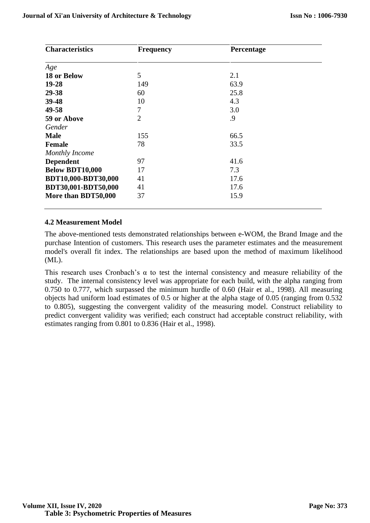| <b>Characteristics</b>     | <b>Frequency</b> | Percentage |  |  |  |  |
|----------------------------|------------------|------------|--|--|--|--|
| Age                        |                  |            |  |  |  |  |
| 18 or Below                | 5                | 2.1        |  |  |  |  |
| 19-28                      | 149              | 63.9       |  |  |  |  |
| 29-38                      | 60               | 25.8       |  |  |  |  |
| 39-48                      | 10               | 4.3        |  |  |  |  |
| 49-58                      | 7                | 3.0        |  |  |  |  |
| 59 or Above                | $\overline{2}$   | .9         |  |  |  |  |
| Gender                     |                  |            |  |  |  |  |
| <b>Male</b>                | 155              | 66.5       |  |  |  |  |
| <b>Female</b>              | 78               | 33.5       |  |  |  |  |
| <b>Monthly Income</b>      |                  |            |  |  |  |  |
| <b>Dependent</b>           | 97               | 41.6       |  |  |  |  |
| <b>Below BDT10,000</b>     | 17               | 7.3        |  |  |  |  |
| <b>BDT10,000-BDT30,000</b> | 41               | 17.6       |  |  |  |  |
| BDT30,001-BDT50,000        | 41               | 17.6       |  |  |  |  |
| More than BDT50,000        | 37               | 15.9       |  |  |  |  |

#### **4.2 Measurement Model**

The above-mentioned tests demonstrated relationships between e-WOM, the Brand Image and the purchase Intention of customers. This research uses the parameter estimates and the measurement model's overall fit index. The relationships are based upon the method of maximum likelihood (ML).

This research uses Cronbach's α to test the internal consistency and measure reliability of the study. The internal consistency level was appropriate for each build, with the alpha ranging from 0.750 to 0.777, which surpassed the minimum hurdle of 0.60 (Hair et al., 1998). All measuring objects had uniform load estimates of 0.5 or higher at the alpha stage of 0.05 (ranging from 0.532 to 0.805), suggesting the convergent validity of the measuring model. Construct reliability to predict convergent validity was verified; each construct had acceptable construct reliability, with estimates ranging from 0.801 to 0.836 (Hair et al., 1998).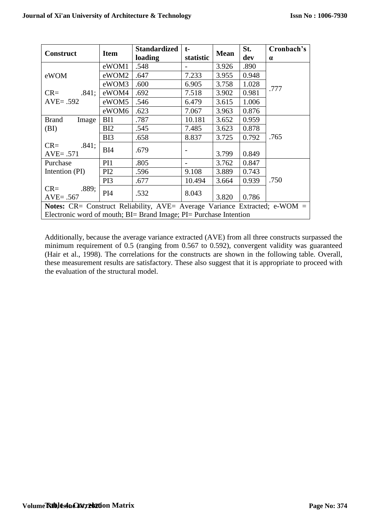| <b>Construct</b>                                                           | <b>Item</b>     | <b>Standardized</b><br>loading | $t-$<br>statistic | <b>Mean</b> | St.<br>dev | Cronbach's<br>$\alpha$ |  |
|----------------------------------------------------------------------------|-----------------|--------------------------------|-------------------|-------------|------------|------------------------|--|
|                                                                            | eWOM1           | .548                           |                   | 3.926       | .890       |                        |  |
| eWOM                                                                       | eWOM2           | .647                           | 7.233             | 3.955       | 0.948      |                        |  |
|                                                                            | eWOM3           | .600                           | 6.905             | 3.758       | 1.028      |                        |  |
| .841;<br>$CR=$                                                             | eWOM4           | .692                           | 7.518             | 3.902       | 0.981      | .777                   |  |
| $AVE = .592$                                                               | eWOM5           | .546                           | 6.479             | 3.615       | 1.006      |                        |  |
|                                                                            | eWOM6           | .623                           | 7.067             | 3.963       | 0.876      |                        |  |
| <b>Brand</b><br>Image                                                      | BI1             | .787                           | 10.181            | 3.652       | 0.959      |                        |  |
| (BI)                                                                       | BI2             | .545                           | 7.485             | 3.623       | 0.878      |                        |  |
|                                                                            | BI3             | .658                           | 8.837             | 3.725       | 0.792      | .765                   |  |
| .841;<br>$CR =$<br>$AVE = .571$                                            | BI4             | .679                           |                   | 3.799       | 0.849      |                        |  |
| Purchase                                                                   | PI <sub>1</sub> | .805                           |                   | 3.762       | 0.847      |                        |  |
| Intention (PI)                                                             | PI2             | .596                           | 9.108             | 3.889       | 0.743      |                        |  |
|                                                                            | PI3             | .677                           | 10.494            | 3.664       | 0.939      | .750                   |  |
| .889;<br>$CR =$<br>$AVE = .567$                                            | PI <sub>4</sub> | .532                           | 8.043             | 3.820       | 0.786      |                        |  |
| Notes: CR= Construct Reliability, AVE= Average Variance Extracted; e-WOM = |                 |                                |                   |             |            |                        |  |
| Electronic word of mouth; BI= Brand Image; PI= Purchase Intention          |                 |                                |                   |             |            |                        |  |

Additionally, because the average variance extracted (AVE) from all three constructs surpassed the minimum requirement of 0.5 (ranging from 0.567 to 0.592), convergent validity was guaranteed (Hair et al., 1998). The correlations for the constructs are shown in the following table. Overall, these measurement results are satisfactory. These also suggest that it is appropriate to proceed with the evaluation of the structural model.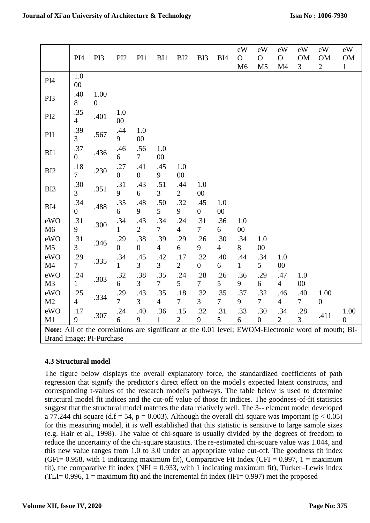|                                                                                                     | PI <sub>4</sub>           | PI3                      | PI <sub>2</sub>       | PI1                   | BI1                   | BI <sub>2</sub>       | BI3                   | BI4                   | eW<br>$\mathbf{O}$<br>M <sub>6</sub> | eW<br>$\mathcal{O}$<br>M <sub>5</sub> | eW<br>$\mathbf O$<br>M <sub>4</sub> | eW<br><b>OM</b><br>3 | eW<br><b>OM</b><br>$\overline{2}$ | eW<br>OM<br>$\mathbf{1}$ |
|-----------------------------------------------------------------------------------------------------|---------------------------|--------------------------|-----------------------|-----------------------|-----------------------|-----------------------|-----------------------|-----------------------|--------------------------------------|---------------------------------------|-------------------------------------|----------------------|-----------------------------------|--------------------------|
| PI <sub>4</sub>                                                                                     | 1.0<br>$00\,$             |                          |                       |                       |                       |                       |                       |                       |                                      |                                       |                                     |                      |                                   |                          |
| PI3                                                                                                 | .40<br>8                  | 1.00<br>$\boldsymbol{0}$ |                       |                       |                       |                       |                       |                       |                                      |                                       |                                     |                      |                                   |                          |
| PI <sub>2</sub>                                                                                     | .35<br>$\overline{4}$     | .401                     | 1.0<br>$00\,$         |                       |                       |                       |                       |                       |                                      |                                       |                                     |                      |                                   |                          |
| PI1                                                                                                 | .39<br>$\overline{3}$     | .567                     | .44<br>9              | 1.0<br>$00\,$         |                       |                       |                       |                       |                                      |                                       |                                     |                      |                                   |                          |
| BI1                                                                                                 | .37<br>$\overline{0}$     | .436                     | .46<br>6              | .56<br>7 <sup>7</sup> | 1.0<br>$00\,$         |                       |                       |                       |                                      |                                       |                                     |                      |                                   |                          |
| BI <sub>2</sub>                                                                                     | $.18\,$<br>$\overline{7}$ | .230                     | .27<br>$\overline{0}$ | .41<br>$\overline{0}$ | .45<br>9              | 1.0<br>$00\,$         |                       |                       |                                      |                                       |                                     |                      |                                   |                          |
| BI3                                                                                                 | .30<br>$\overline{3}$     | .351                     | .31<br>9              | .43<br>6              | .51<br>3              | .44<br>$\overline{2}$ | 1.0<br>00             |                       |                                      |                                       |                                     |                      |                                   |                          |
| BI4                                                                                                 | .34<br>$\overline{0}$     | .488                     | .35<br>6              | .48<br>9              | .50<br>5              | .32<br>9              | .45<br>$\overline{0}$ | 1.0<br>$00\,$         |                                      |                                       |                                     |                      |                                   |                          |
| eWO<br>M6                                                                                           | .31<br>9                  | .300                     | .34<br>$\mathbf{1}$   | .43<br>$\overline{2}$ | .34<br>$\overline{7}$ | .24<br>$\overline{4}$ | .31<br>$\overline{7}$ | .36<br>6              | 1.0<br>$00\,$                        |                                       |                                     |                      |                                   |                          |
| eWO<br>M <sub>5</sub>                                                                               | .31<br>$\overline{3}$     | .346                     | .29<br>$\overline{0}$ | .38<br>$\overline{0}$ | .39<br>$\overline{4}$ | .29<br>6              | .26<br>9              | .30<br>$\overline{4}$ | .34<br>8                             | 1.0<br>00                             |                                     |                      |                                   |                          |
| eWO                                                                                                 | .29                       | .335                     | .34<br>$\mathbf{1}$   | .45<br>$\overline{3}$ | .42<br>$\overline{3}$ | .17                   | .32                   | .40                   | .44                                  | .34                                   | 1.0                                 |                      |                                   |                          |
| M <sub>4</sub><br>eWO                                                                               | $\overline{7}$            |                          | .32                   | .38                   | .35                   | $\mathbf{2}$<br>.24   | $\overline{0}$<br>.28 | 6                     | $\mathbf{1}$<br>.36                  | 5<br>.29                              | $00\,$<br>.47                       | 1.0                  |                                   |                          |
| M3                                                                                                  | .24<br>$\mathbf{1}$       | .303                     | 6                     | $\overline{3}$        | $\overline{7}$        | 5                     | $\overline{7}$        | .26<br>5              | 9                                    | 6                                     | $\overline{4}$                      | $00\,$               |                                   |                          |
| eWO                                                                                                 | .25                       |                          | .29                   | .43                   | .35                   | .18                   | .32                   | .35                   | .37                                  | .32                                   | .46                                 | .40                  | 1.00                              |                          |
| M2                                                                                                  | $\overline{4}$            | .334                     | $\overline{7}$        | $\overline{3}$        | $\overline{4}$        | $\overline{7}$        | $\overline{3}$        | $\overline{7}$        | 9                                    | $\overline{7}$                        | $\overline{4}$                      | 7 <sup>1</sup>       | $\overline{0}$                    |                          |
| eWO                                                                                                 | .17                       | .307                     | .24                   | .40                   | .36                   | .15                   | .32                   | .31                   | .33                                  | .30                                   | .34                                 | .28                  | .411                              | 1.00                     |
| M1                                                                                                  | 9                         |                          | 6                     | 9                     | $\mathbf{1}$          | $\overline{2}$        | 9                     | 5                     | 6                                    | $\boldsymbol{0}$                      | $\overline{2}$                      | $\overline{3}$       |                                   | $\boldsymbol{0}$         |
| Note: All of the correlations are significant at the 0.01 level; EWOM-Electronic word of mouth; BI- |                           |                          |                       |                       |                       |                       |                       |                       |                                      |                                       |                                     |                      |                                   |                          |

Brand Image; PI-Purchase

## **4.3 Structural model**

The figure below displays the overall explanatory force, the standardized coefficients of path regression that signify the predictor's direct effect on the model's expected latent constructs, and corresponding t-values of the research model's pathways. The table below is used to determine structural model fit indices and the cut-off value of those fit indices. The goodness-of-fit statistics suggest that the structural model matches the data relatively well. The 3-- element model developed a 77.244 chi-square (d.f = 54, p = 0.003). Although the overall chi-square was important (p < 0.05) for this measuring model, it is well established that this statistic is sensitive to large sample sizes (e.g. Hair et al., 1998). The value of chi-square is usually divided by the degrees of freedom to reduce the uncertainty of the chi-square statistics. The re-estimated chi-square value was 1.044, and this new value ranges from 1.0 to 3.0 under an appropriate value cut-off. The goodness fit index (GFI= 0.958, with 1 indicating maximum fit), Comparative Fit Index (CFI = 0.997,  $1 =$  maximum fit), the comparative fit index (NFI =  $0.933$ , with 1 indicating maximum fit), Tucker–Lewis index (TLI=  $0.996$ , 1 = maximum fit) and the incremental fit index (IFI=  $0.997$ ) met the proposed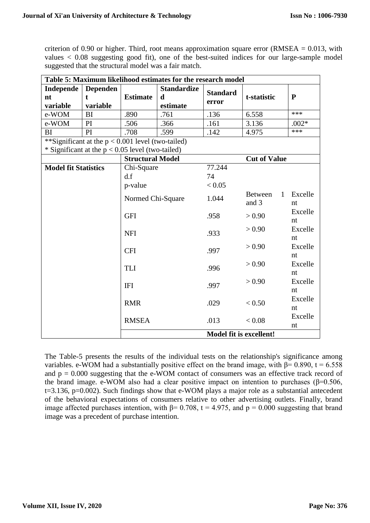criterion of 0.90 or higher. Third, root means approximation square error (RMSEA =  $0.013$ , with values < 0.08 suggesting good fit), one of the best-suited indices for our large-sample model suggested that the structural model was a fair match.

| Table 5: Maximum likelihood estimates for the research model |                                                     |                         |                    |                 |                                |             |  |  |
|--------------------------------------------------------------|-----------------------------------------------------|-------------------------|--------------------|-----------------|--------------------------------|-------------|--|--|
| Independe                                                    | <b>Dependen</b>                                     |                         | <b>Standardize</b> | <b>Standard</b> |                                |             |  |  |
| nt                                                           | t                                                   | <b>Estimate</b>         | $\mathbf d$        | error           | t-statistic                    | $\mathbf P$ |  |  |
| variable                                                     | variable                                            |                         | estimate           |                 |                                |             |  |  |
| e-WOM                                                        | <b>BI</b>                                           | .890                    | .761               | .136            | 6.558                          | ***         |  |  |
| e-WOM                                                        | PI                                                  | .506                    | .366               | .161            | 3.136                          | $.002*$     |  |  |
| BI                                                           | PI                                                  | .708                    | .599               | .142            | 4.975                          | ***         |  |  |
|                                                              | **Significant at the $p < 0.001$ level (two-tailed) |                         |                    |                 |                                |             |  |  |
|                                                              | * Significant at the $p < 0.05$ level (two-tailed)  |                         |                    |                 |                                |             |  |  |
|                                                              |                                                     | <b>Structural Model</b> |                    |                 | <b>Cut of Value</b>            |             |  |  |
| <b>Model fit Statistics</b>                                  |                                                     | Chi-Square              |                    | 77.244          |                                |             |  |  |
|                                                              |                                                     | d.f                     |                    | 74              |                                |             |  |  |
|                                                              |                                                     | p-value                 |                    | < 0.05          |                                |             |  |  |
|                                                              |                                                     | Normed Chi-Square       |                    |                 | <b>Between</b><br>$\mathbf{1}$ | Excelle     |  |  |
|                                                              |                                                     |                         |                    | 1.044           | and 3                          | nt          |  |  |
|                                                              |                                                     | <b>GFI</b>              |                    | .958            | > 0.90                         | Excelle     |  |  |
|                                                              |                                                     |                         |                    |                 |                                | nt          |  |  |
|                                                              |                                                     | <b>NFI</b>              |                    | .933            | > 0.90                         | Excelle     |  |  |
|                                                              |                                                     |                         |                    |                 |                                | nt          |  |  |
|                                                              |                                                     | <b>CFI</b>              |                    | .997            | > 0.90                         | Excelle     |  |  |
|                                                              |                                                     |                         |                    |                 | nt                             |             |  |  |
| <b>TLI</b>                                                   |                                                     | .996                    | > 0.90             | Excelle         |                                |             |  |  |
|                                                              |                                                     |                         |                    |                 | nt                             |             |  |  |
|                                                              |                                                     | <b>IFI</b>              |                    | .997            | > 0.90                         | Excelle     |  |  |
|                                                              |                                                     |                         |                    |                 |                                | nt          |  |  |
|                                                              |                                                     | <b>RMR</b>              |                    | .029            | < 0.50                         | Excelle     |  |  |
|                                                              |                                                     |                         |                    |                 |                                | nt          |  |  |
|                                                              | <b>RMSEA</b>                                        |                         |                    | .013            | < 0.08                         | Excelle     |  |  |
|                                                              |                                                     |                         |                    |                 |                                | nt          |  |  |
| <b>Model fit is excellent!</b>                               |                                                     |                         |                    |                 |                                |             |  |  |

The Table-5 presents the results of the individual tests on the relationship's significance among variables. e-WOM had a substantially positive effect on the brand image, with  $β = 0.890$ , t = 6.558 and  $p = 0.000$  suggesting that the e-WOM contact of consumers was an effective track record of the brand image. e-WOM also had a clear positive impact on intention to purchases ( $\beta$ =0.506, t=3.136, p=0.002). Such findings show that e-WOM plays a major role as a substantial antecedent of the behavioral expectations of consumers relative to other advertising outlets. Finally, brand image affected purchases intention, with  $\beta$ = 0.708, t = 4.975, and p = 0.000 suggesting that brand image was a precedent of purchase intention.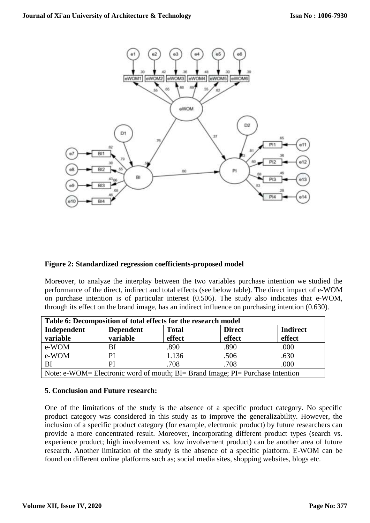

## **Figure 2: Standardized regression coefficients-proposed model**

Moreover, to analyze the interplay between the two variables purchase intention we studied the performance of the direct, indirect and total effects (see below table). The direct impact of e-WOM on purchase intention is of particular interest (0.506). The study also indicates that e-WOM, through its effect on the brand image, has an indirect influence on purchasing intention (0.630).

| Table 6: Decomposition of total effects for the research model                 |                  |              |               |                 |  |  |
|--------------------------------------------------------------------------------|------------------|--------------|---------------|-----------------|--|--|
| Independent                                                                    | <b>Dependent</b> | <b>Total</b> | <b>Direct</b> | <b>Indirect</b> |  |  |
| variable                                                                       | variable         | effect       | effect        | effect          |  |  |
| e-WOM                                                                          | BI               | .890         | .890          | .000            |  |  |
| e-WOM                                                                          | PI               | 1.136        | .506          | .630            |  |  |
| BI                                                                             | PI               | .708         | .708          | .000            |  |  |
| Note: e-WOM= Electronic word of mouth; BI= Brand Image; PI= Purchase Intention |                  |              |               |                 |  |  |

#### **5. Conclusion and Future research:**

One of the limitations of the study is the absence of a specific product category. No specific product category was considered in this study as to improve the generalizability. However, the inclusion of a specific product category (for example, electronic product) by future researchers can provide a more concentrated result. Moreover, incorporating different product types (search vs. experience product; high involvement vs. low involvement product) can be another area of future research. Another limitation of the study is the absence of a specific platform. E-WOM can be found on different online platforms such as; social media sites, shopping websites, blogs etc.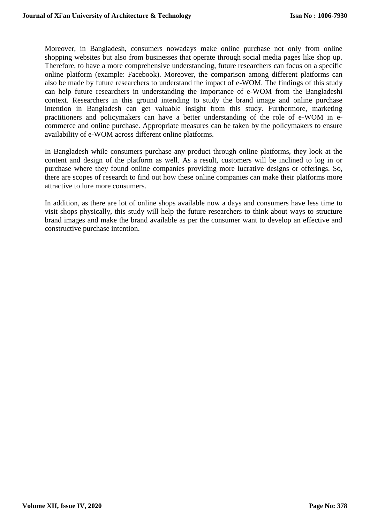Moreover, in Bangladesh, consumers nowadays make online purchase not only from online shopping websites but also from businesses that operate through social media pages like shop up. Therefore, to have a more comprehensive understanding, future researchers can focus on a specific online platform (example: Facebook). Moreover, the comparison among different platforms can also be made by future researchers to understand the impact of e-WOM. The findings of this study can help future researchers in understanding the importance of e-WOM from the Bangladeshi context. Researchers in this ground intending to study the brand image and online purchase intention in Bangladesh can get valuable insight from this study. Furthermore, marketing practitioners and policymakers can have a better understanding of the role of e-WOM in ecommerce and online purchase. Appropriate measures can be taken by the policymakers to ensure availability of e-WOM across different online platforms.

In Bangladesh while consumers purchase any product through online platforms, they look at the content and design of the platform as well. As a result, customers will be inclined to log in or purchase where they found online companies providing more lucrative designs or offerings. So, there are scopes of research to find out how these online companies can make their platforms more attractive to lure more consumers.

In addition, as there are lot of online shops available now a days and consumers have less time to visit shops physically, this study will help the future researchers to think about ways to structure brand images and make the brand available as per the consumer want to develop an effective and constructive purchase intention.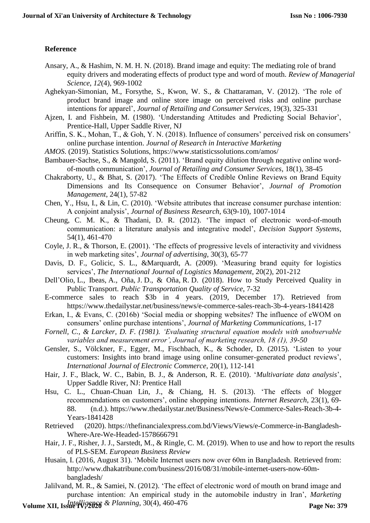## **Reference**

- Ansary, A., & Hashim, N. M. H. N. (2018). Brand image and equity: The mediating role of brand equity drivers and moderating effects of product type and word of mouth. *Review of Managerial Science*, *12*(4), 969-1002
- Aghekyan-Simonian, M., Forsythe, S., Kwon, W. S., & Chattaraman, V. (2012). 'The role of product brand image and online store image on perceived risks and online purchase intentions for apparel', *Journal of Retailing and Consumer Services*, 19(3), 325-331
- Ajzen, I. and Fishbein, M. (1980). 'Understanding Attitudes and Predicting Social Behavior', Prentice-Hall, Upper Saddle River, NJ
- Ariffin, S. K., Mohan, T., & Goh, Y. N. (2018). Influence of consumers' perceived risk on consumers' online purchase intention. *Journal of Research in Interactive Marketing*
- *AMOS*. (2019). Statistics Solutions, <https://www.statisticssolutions.com/amos/>
- Bambauer-Sachse, S., & Mangold, S. (2011). 'Brand equity dilution through negative online wordof-mouth communication', *Journal of Retailing and Consumer Services*, 18(1), 38-45
- Chakraborty, U., & Bhat, S. (2017). 'The Effects of Credible Online Reviews on Brand Equity Dimensions and Its Consequence on Consumer Behavior', *Journal of Promotion Management*, 24(1), 57-82
- Chen, Y., Hsu, I., & Lin, C. (2010). 'Website attributes that increase consumer purchase intention: A conjoint analysis', *Journal of Business Research*, 63(9-10), 1007-1014
- Cheung, C. M. K., & Thadani, D. R. (2012). 'The impact of electronic word-of-mouth communication: a literature analysis and integrative model', *Decision Support Systems*, 54(1), 461-470
- Coyle, J. R., & Thorson, E. (2001). 'The effects of progressive levels of interactivity and vividness in web marketing sites', *Journal of advertising*, 30(3), 65-77
- Davis, D. F., Golicic, S. L., &Marquardt, A. (2009). 'Measuring brand equity for logistics services', *The International Journal of Logistics Management*, 20(2), 201-212
- Dell'Olio, L., Ibeas, A., Oña, J. D., & Oña, R. D. (2018). How to Study Perceived Quality in Public Transport. *Public Transportation Quality of Service*, 7-32
- E-commerce sales to reach \$3b in 4 years. (2019, December 17). Retrieved from https://www.thedailystar.net/business/news/e-commerce-sales-reach-3b-4-years-1841428
- Erkan, I., & Evans, C. (2016b) 'Social media or shopping websites? The influence of eWOM on consumers' online purchase intentions', *Journal of Marketing Communications*, 1-17
- *Fornell, C., & Larcker, D. F. (1981). 'Evaluating structural equation models with unobservable variables and measurement error', Journal of marketing research, 18 (1), 39-50*
- Gensler, S., Völckner, F., Egger, M., Fischbach, K., & Schoder, D. (2015). 'Listen to your customers: Insights into brand image using online consumer-generated product reviews', *International Journal of Electronic Commerce*, 20(1), 112-141
- Hair, J. F., Black, W. C., Babin, B. J., & Anderson, R. E. (2010). '*Multivariate data analysis*', Upper Saddle River, NJ: Prentice Hall
- Hsu, C. L., Chuan-Chuan Lin, J., & Chiang, H. S. (2013). 'The effects of blogger recommendations on customers', online shopping intentions. *Internet Research*, 23(1), 69- 88. (n.d.). [https://www.thedailystar.net/Business/News/e-Commerce-Sales-Reach-3b-4-](https://www.thedailystar.net/Business/News/e-Commerce-Sales-Reach-3b-4-Years-1841428) [Years-1841428](https://www.thedailystar.net/Business/News/e-Commerce-Sales-Reach-3b-4-Years-1841428)
- Retrieved (2020). https://thefinancialexpress.com.bd/Views/Views/e-Commerce-in-Bangladesh-Where-Are-We-Headed-1578666791
- Hair, J. F., Risher, J. J., Sarstedt, M., & Ringle, C. M. (2019). When to use and how to report the results of PLS-SEM. *European Business Review*
- Husain, I. (2016, August 31). 'Mobile Internet users now over 60m in Bangladesh. Retrieved from: http://www.dhakatribune.com/business/2016/08/31/mobile-internet-users-now-60mbangladesh/
- Jalilvand, M. R., & Samiei, N. (2012). 'The effect of electronic word of mouth on brand image and purchase intention: An empirical study in the automobile industry in Iran', *Marketing*

**Volume XII, Issue IV, 2026** & Planning, 30(4), 460-476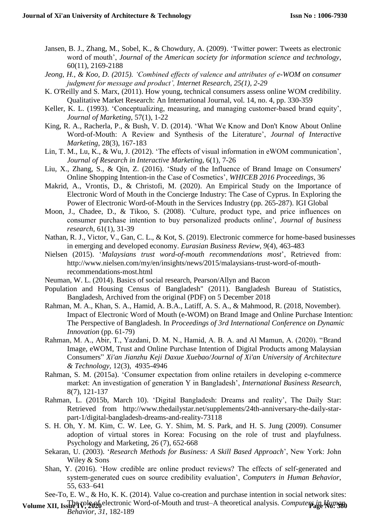- Jansen, B. J., Zhang, M., Sobel, K., & Chowdury, A. (2009). 'Twitter power: Tweets as electronic word of mouth', *Journal of the American society for information science and technology*, 60(11), 2169-2188
- *Jeong, H., & Koo, D. (2015). 'Combined effects of valence and attributes of e-WOM on consumer judgment for message and product', Internet Research, 25(1), 2-29*
- K. O'Reilly and S. Marx, (2011). How young, technical consumers assess online WOM credibility. Qualitative Market Research: An International Journal, vol. 14, no. 4, pp. 330-359
- Keller, K. L. (1993). 'Conceptualizing, measuring, and managing customer-based brand equity', *Journal of Marketing*, 57(1), 1-22
- King, R. A., Racherla, P., & Bush, V. D. (2014). 'What We Know and Don't Know About Online Word-of-Mouth: A Review and Synthesis of the Literature', *Journal of Interactive Marketing*, 28(3), 167-183
- Lin, T. M., Lu, K., & Wu, J. (2012). 'The effects of visual information in eWOM communication', *Journal of Research in Interactive Marketing*, 6(1), 7-26
- Liu, X., Zhang, S., & Qin, Z. (2016). 'Study of the Influence of Brand Image on Consumers' Online Shopping Intention-in the Case of Cosmetics', *WHICEB 2016 Proceedings*, 36
- Makrid, A., Vrontis, D., & Christofi, M. (2020). An Empirical Study on the Importance of Electronic Word of Mouth in the Concierge Industry: The Case of Cyprus. In Exploring the Power of Electronic Word-of-Mouth in the Services Industry (pp. 265-287). IGI Global
- Moon, J., Chadee, D., & Tikoo, S. (2008). 'Culture, product type, and price influences on consumer purchase intention to buy personalized products online', *Journal of business research*, 61(1), 31-39
- Nathan, R. J., Victor, V., Gan, C. L., & Kot, S. (2019). Electronic commerce for home-based businesses in emerging and developed economy. *Eurasian Business Review*, *9*(4), 463-483
- Nielsen (2015). '*Malaysians trust word-of-mouth recommendations most*', Retrieved from: http://www.nielsen.com/my/en/insights/news/2015/malaysians-trust-word-of-mouthrecommendations-most.html
- Neuman, W. L. (2014). Basics of social research, Pearson/Allyn and Bacon
- Population and Housing Census of Bangladesh" (2011). Bangladesh Bureau of Statistics, Bangladesh, Archived from the original (PDF) on 5 December 2018
- Rahman, M. A., Khan, S. A., Hamid, A. B.A., Latiff, A. S. A., & Mahmood, R. (2018, November). Impact of Electronic Word of Mouth (e-WOM) on Brand Image and Online Purchase Intention: The Perspective of Bangladesh. In *Proceedings of 3rd International Conference on Dynamic Innovation* (pp. 61-79)
- Rahman, M. A., Abir, T., Yazdani, D. M. N., Hamid, A. B. A. and Al Mamun, A. (2020). ["Brand](https://www.researchgate.net/publication/340096206_Brand_Image_eWOM_Trust_and_Online_Purchase_Intention_of_Digital_Products_among_Malaysian_Consumers?_sg=C4HL0G5R62KkZQdmL67sWaj32SZQA-glp0AoaATO1VyO7BxLiaS-wsY2W-Rn2qe9WqNmAL_jl7Cy8OqAb4Hux-rysSUlJNwfq4dVCNvG.iEN-ghRHPr66_CSbhy0qk2JpL8Ra5htG_kiG5TE6MQyEW3ExeX8mJVpkVfVlnNEURU-1fm-hTZBGBO8YcWCpgw) Image, eWOM, Trust and Online Purchase Intention of Digital Products among [Malaysian](https://www.researchgate.net/publication/340096206_Brand_Image_eWOM_Trust_and_Online_Purchase_Intention_of_Digital_Products_among_Malaysian_Consumers?_sg=C4HL0G5R62KkZQdmL67sWaj32SZQA-glp0AoaATO1VyO7BxLiaS-wsY2W-Rn2qe9WqNmAL_jl7Cy8OqAb4Hux-rysSUlJNwfq4dVCNvG.iEN-ghRHPr66_CSbhy0qk2JpL8Ra5htG_kiG5TE6MQyEW3ExeX8mJVpkVfVlnNEURU-1fm-hTZBGBO8YcWCpgw) [Consumers"](https://www.researchgate.net/publication/340096206_Brand_Image_eWOM_Trust_and_Online_Purchase_Intention_of_Digital_Products_among_Malaysian_Consumers?_sg=C4HL0G5R62KkZQdmL67sWaj32SZQA-glp0AoaATO1VyO7BxLiaS-wsY2W-Rn2qe9WqNmAL_jl7Cy8OqAb4Hux-rysSUlJNwfq4dVCNvG.iEN-ghRHPr66_CSbhy0qk2JpL8Ra5htG_kiG5TE6MQyEW3ExeX8mJVpkVfVlnNEURU-1fm-hTZBGBO8YcWCpgw) *Xi'an Jianzhu Keji Daxue Xuebao/Journal of Xi'an University of Architecture & Technology,* 12(3), 4935-4946
- Rahman, S. M. (2015a). 'Consumer expectation from online retailers in developing e-commerce market: An investigation of generation Y in Bangladesh', *International Business Research*, 8(7), 121-137
- Rahman, L. (2015b, March 10). 'Digital Bangladesh: Dreams and reality', The Daily Star: Retrieved from http://www.thedailystar.net/supplements/24th-anniversary-the-daily-starpart-1/digital-bangladesh-dreams-and-reality-73118
- S. H. Oh, Y. M. Kim, C. W. Lee, G. Y. Shim, M. S. Park, and H. S. Jung (2009). Consumer adoption of virtual stores in Korea: Focusing on the role of trust and playfulness. Psychology and Marketing, 26 (7), 652-668
- Sekaran, U. (2003). '*Research Methods for Business: A Skill Based Approach*', New York: John Wiley & Sons
- Shan, Y. (2016). 'How credible are online product reviews? The effects of self-generated and system-generated cues on source credibility evaluation', *Computers in Human Behavior,* 55, 633–641

See-To, E. W., & Ho, K. K. (2014). Value co-creation and purchase intention in social network sites:

**Volume XII, Issue IV, 2020** electronic Word-of-Mouth and trust–A theoretical analysis. *Computers in Human Behavior*, *31*, 182-189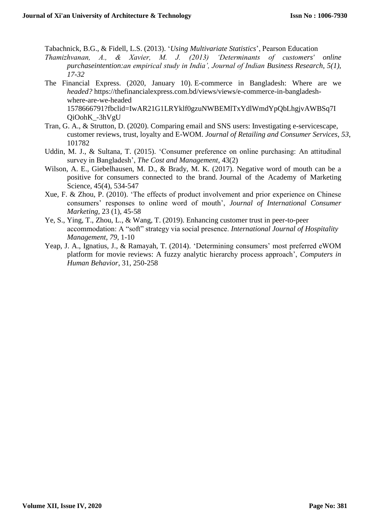Tabachnick, B.G., & Fidell, L.S. (2013). '*Using Multivariate Statistics*', Pearson Education

- *Thamizhvanan, A., & Xavier, M. J. (2013) 'Determinants of customers' online purchaseintention:an empirical study in India', Journal of Indian Business Research, 5(1), 17-32*
- The Financial Express. (2020, January 10). E-commerce in Bangladesh: Where are we *headed?* https://thefinancialexpress.com.bd/views/views/e-commerce-in-bangladeshwhere-are-we-headed 1578666791?fbclid=IwAR21G1LRYklf0gzuNWBEMlTxYdlWmdYpQbLhgjvAWBSq7I QiOohK\_-3hVgU
- Tran, G. A., & Strutton, D. (2020). Comparing email and SNS users: Investigating e-servicescape, customer reviews, trust, loyalty and E-WOM. *Journal of Retailing and Consumer Services*, *53*, 101782
- Uddin, M. J., & Sultana, T. (2015). 'Consumer preference on online purchasing: An attitudinal survey in Bangladesh', *The Cost and Management*, 43(2)
- Wilson, A. E., Giebelhausen, M. D., & Brady, M. K. (2017). Negative word of mouth can be a positive for consumers connected to the brand. Journal of the Academy of Marketing Science, 45(4), 534-547
- Xue, F. & Zhou, P. (2010). 'The effects of product involvement and prior experience on Chinese consumers' responses to online word of mouth', *Journal of International Consumer Marketing*, 23 (1), 45-58
- Ye, S., Ying, T., Zhou, L., & Wang, T. (2019). Enhancing customer trust in peer-to-peer accommodation: A "soft" strategy via social presence. *International Journal of Hospitality Management*, *79*, 1-10
- Yeap, J. A., Ignatius, J., & Ramayah, T. (2014). 'Determining consumers' most preferred eWOM platform for movie reviews: A fuzzy analytic hierarchy process approach', *Computers in Human Behavior*, 31, 250-258